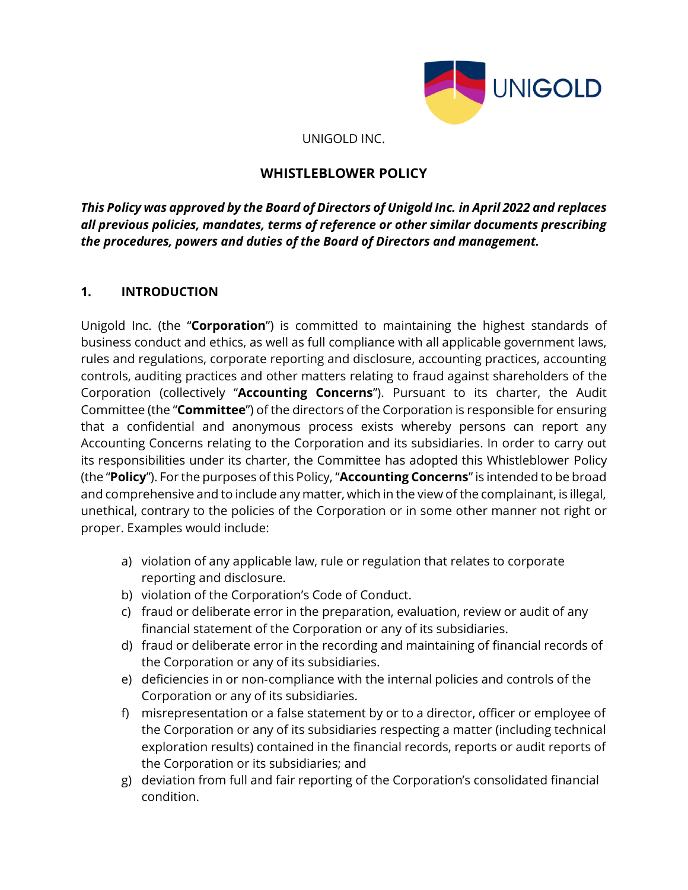

UNIGOLD INC.

# **WHISTLEBLOWER POLICY**

*This Policy was approved by the Board of Directors of Unigold Inc. in April 2022 and replaces all previous policies, mandates, terms of reference or other similar documents prescribing the procedures, powers and duties of the Board of Directors and management.*

# **1. INTRODUCTION**

Unigold Inc. (the "**Corporation**") is committed to maintaining the highest standards of business conduct and ethics, as well as full compliance with all applicable government laws, rules and regulations, corporate reporting and disclosure, accounting practices, accounting controls, auditing practices and other matters relating to fraud against shareholders of the Corporation (collectively "**Accounting Concerns**"). Pursuant to its charter, the Audit Committee (the "**Committee**") of the directors of the Corporation is responsible for ensuring that a confidential and anonymous process exists whereby persons can report any Accounting Concerns relating to the Corporation and its subsidiaries. In order to carry out its responsibilities under its charter, the Committee has adopted this Whistleblower Policy (the "**Policy**"). For the purposes of this Policy, "**Accounting Concerns**" is intended to be broad and comprehensive and to include any matter, which in the view of the complainant, is illegal, unethical, contrary to the policies of the Corporation or in some other manner not right or proper. Examples would include:

- a) violation of any applicable law, rule or regulation that relates to corporate reporting and disclosure.
- b) violation of the Corporation's Code of Conduct.
- c) fraud or deliberate error in the preparation, evaluation, review or audit of any financial statement of the Corporation or any of its subsidiaries.
- d) fraud or deliberate error in the recording and maintaining of financial records of the Corporation or any of its subsidiaries.
- e) deficiencies in or non‐compliance with the internal policies and controls of the Corporation or any of its subsidiaries.
- f) misrepresentation or a false statement by or to a director, officer or employee of the Corporation or any of its subsidiaries respecting a matter (including technical exploration results) contained in the financial records, reports or audit reports of the Corporation or its subsidiaries; and
- g) deviation from full and fair reporting of the Corporation's consolidated financial condition.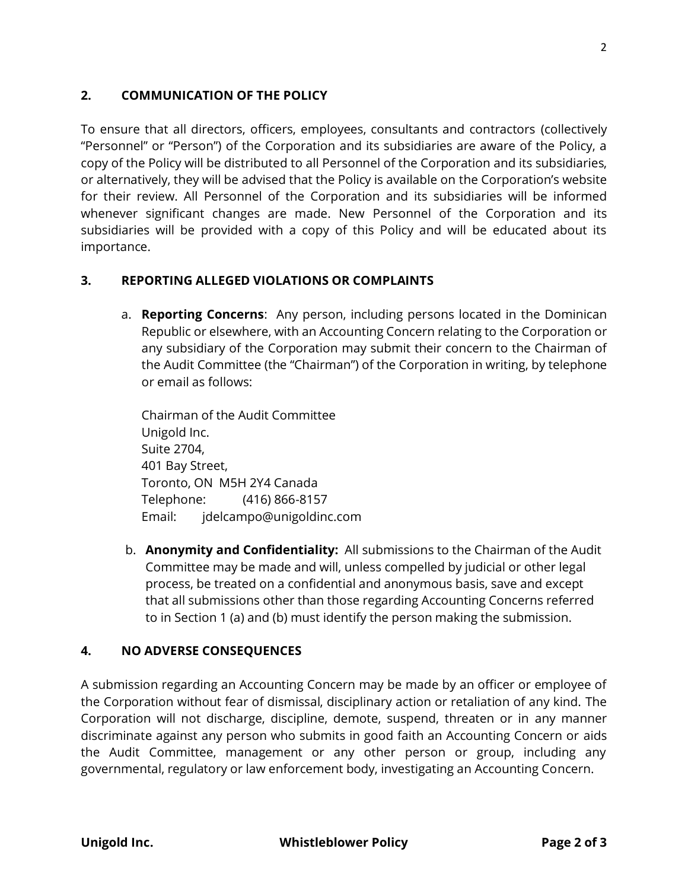## **2. COMMUNICATION OF THE POLICY**

To ensure that all directors, officers, employees, consultants and contractors (collectively "Personnel" or "Person") of the Corporation and its subsidiaries are aware of the Policy, a copy of the Policy will be distributed to all Personnel of the Corporation and its subsidiaries, or alternatively, they will be advised that the Policy is available on the Corporation's website for their review. All Personnel of the Corporation and its subsidiaries will be informed whenever significant changes are made. New Personnel of the Corporation and its subsidiaries will be provided with a copy of this Policy and will be educated about its importance.

#### **3. REPORTING ALLEGED VIOLATIONS OR COMPLAINTS**

a. **Reporting Concerns**: Any person, including persons located in the Dominican Republic or elsewhere, with an Accounting Concern relating to the Corporation or any subsidiary of the Corporation may submit their concern to the Chairman of the Audit Committee (the "Chairman") of the Corporation in writing, by telephone or email as follows:

Chairman of the Audit Committee Unigold Inc. Suite 2704, 401 Bay Street, Toronto, ON M5H 2Y4 Canada Telephone: (416) 866-8157 Email: jdelcampo@unigoldinc.com

b. **Anonymity and Confidentiality:** All submissions to the Chairman of the Audit Committee may be made and will, unless compelled by judicial or other legal process, be treated on a confidential and anonymous basis, save and except that all submissions other than those regarding Accounting Concerns referred to in Section 1 (a) and (b) must identify the person making the submission.

## **4. NO ADVERSE CONSEQUENCES**

A submission regarding an Accounting Concern may be made by an officer or employee of the Corporation without fear of dismissal, disciplinary action or retaliation of any kind. The Corporation will not discharge, discipline, demote, suspend, threaten or in any manner discriminate against any person who submits in good faith an Accounting Concern or aids the Audit Committee, management or any other person or group, including any governmental, regulatory or law enforcement body, investigating an Accounting Concern.